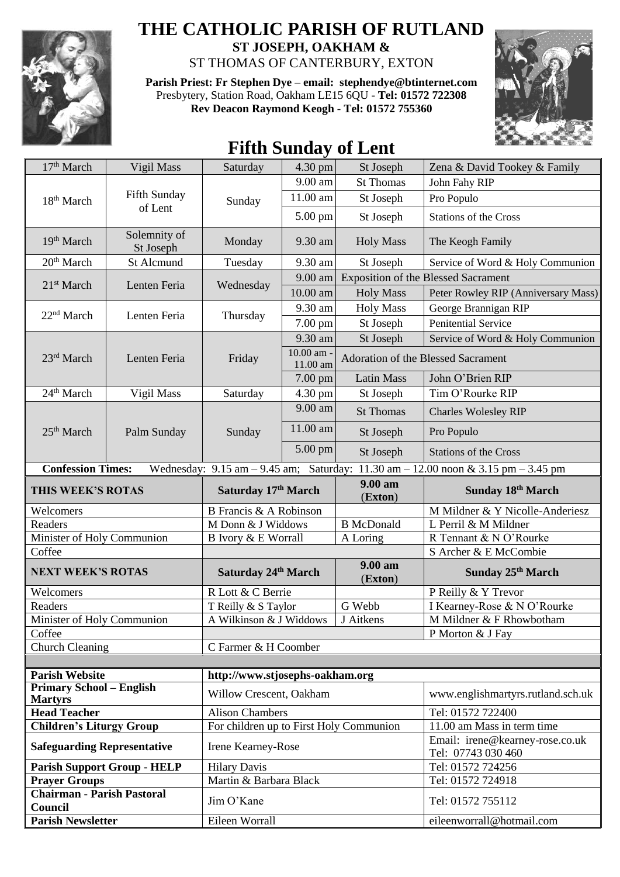

## **THE CATHOLIC PARISH OF RUTLAND ST JOSEPH, OAKHAM &**

ST THOMAS OF CANTERBURY, EXTON

**Parish Priest: Fr Stephen Dye** – **[email: stephendye@btinternet.com](mailto:email:%20%20stephendye@btinternet.com)** Presbytery, Station Road, Oakham LE15 6QU - **Tel: 01572 722308 Rev Deacon Raymond Keogh - Tel: 01572 755360**



## **Fifth Sunday of Lent**

| 17 <sup>th</sup> March                                                | Vigil Mass                         | Saturday                                                      | 4.30 pm                | St Joseph                          | Zena & David Tookey & Family                                                                                                            |
|-----------------------------------------------------------------------|------------------------------------|---------------------------------------------------------------|------------------------|------------------------------------|-----------------------------------------------------------------------------------------------------------------------------------------|
| 18 <sup>th</sup> March                                                | Fifth Sunday<br>of Lent            | Sunday                                                        | 9.00 am                | <b>St Thomas</b>                   | John Fahy RIP                                                                                                                           |
|                                                                       |                                    |                                                               | 11.00 am               | St Joseph                          | Pro Populo                                                                                                                              |
|                                                                       |                                    |                                                               | 5.00 pm                | St Joseph                          | <b>Stations of the Cross</b>                                                                                                            |
| 19 <sup>th</sup> March                                                | Solemnity of<br>St Joseph          | Monday                                                        | 9.30 am                | <b>Holy Mass</b>                   | The Keogh Family                                                                                                                        |
| 20 <sup>th</sup> March                                                | St Alcmund                         | Tuesday                                                       | 9.30 am                | St Joseph                          | Service of Word & Holy Communion                                                                                                        |
| 21 <sup>st</sup> March                                                | Lenten Feria                       | Wednesday                                                     | 9.00 am                |                                    | <b>Exposition of the Blessed Sacrament</b>                                                                                              |
|                                                                       |                                    |                                                               | 10.00 am               | <b>Holy Mass</b>                   | Peter Rowley RIP (Anniversary Mass)                                                                                                     |
| 22 <sup>nd</sup> March                                                | Lenten Feria                       | Thursday                                                      | 9.30 am                | <b>Holy Mass</b>                   | George Brannigan RIP                                                                                                                    |
|                                                                       |                                    |                                                               | 7.00 pm                | St Joseph                          | <b>Penitential Service</b>                                                                                                              |
|                                                                       |                                    | Friday                                                        | 9.30 am                | St Joseph                          | Service of Word & Holy Communion                                                                                                        |
| 23rd March                                                            | Lenten Feria                       |                                                               | 10.00 am -<br>11.00 am | Adoration of the Blessed Sacrament |                                                                                                                                         |
|                                                                       |                                    |                                                               | $7.00$ pm              | <b>Latin Mass</b>                  | John O'Brien RIP                                                                                                                        |
| 24 <sup>th</sup> March                                                | Vigil Mass                         | Saturday                                                      | 4.30 pm                | St Joseph                          | Tim O'Rourke RIP                                                                                                                        |
|                                                                       |                                    |                                                               | 9.00 am                | <b>St Thomas</b>                   | <b>Charles Wolesley RIP</b>                                                                                                             |
| 25 <sup>th</sup> March                                                | Palm Sunday                        | Sunday                                                        | 11.00 am               | St Joseph                          | Pro Populo                                                                                                                              |
|                                                                       |                                    |                                                               | 5.00 pm                | St Joseph                          | <b>Stations of the Cross</b>                                                                                                            |
| <b>Confession Times:</b>                                              |                                    |                                                               |                        |                                    | Wednesday: $9.15 \text{ am} - 9.45 \text{ am}$ ; Saturday: $11.30 \text{ am} - 12.00 \text{ noon} \& 3.15 \text{ pm} - 3.45 \text{ pm}$ |
| THIS WEEK'S ROTAS                                                     |                                    | Saturday 17th March                                           |                        | 9.00 am                            | Sunday 18th March                                                                                                                       |
|                                                                       |                                    |                                                               |                        | (Exton)                            |                                                                                                                                         |
| Welcomers                                                             |                                    | B Francis & A Robinson                                        |                        |                                    | M Mildner & Y Nicolle-Anderiesz                                                                                                         |
| Readers                                                               |                                    | M Donn & J Widdows                                            |                        | <b>B</b> McDonald                  | L Perril & M Mildner                                                                                                                    |
| Minister of Holy Communion                                            |                                    | B Ivory & E Worrall                                           |                        | A Loring                           | R Tennant & N O'Rourke                                                                                                                  |
| Coffee                                                                |                                    |                                                               |                        |                                    | S Archer & E McCombie                                                                                                                   |
| <b>NEXT WEEK'S ROTAS</b>                                              |                                    | Saturday 24th March                                           |                        | 9.00 am<br>(Exton)                 | Sunday 25 <sup>th</sup> March                                                                                                           |
| Welcomers                                                             |                                    | R Lott & C Berrie                                             |                        |                                    | P Reilly & Y Trevor                                                                                                                     |
| Readers                                                               |                                    | T Reilly & S Taylor                                           |                        | G Webb                             | I Kearney-Rose & N O'Rourke                                                                                                             |
| Minister of Holy Communion                                            |                                    | A Wilkinson & J Widdows                                       |                        | J Aitkens                          | M Mildner & F Rhowbotham                                                                                                                |
| Coffee                                                                |                                    |                                                               |                        |                                    | P Morton & J Fay                                                                                                                        |
| <b>Church Cleaning</b>                                                |                                    | C Farmer & H Coomber                                          |                        |                                    |                                                                                                                                         |
|                                                                       |                                    |                                                               |                        |                                    |                                                                                                                                         |
| <b>Parish Website</b><br><b>Primary School - English</b>              |                                    | http://www.stjosephs-oakham.org                               |                        |                                    |                                                                                                                                         |
| <b>Martyrs</b>                                                        |                                    | Willow Crescent, Oakham                                       |                        |                                    | www.englishmartyrs.rutland.sch.uk                                                                                                       |
| <b>Head Teacher</b>                                                   |                                    | <b>Alison Chambers</b>                                        |                        |                                    | Tel: 01572 722400                                                                                                                       |
| <b>Children's Liturgy Group</b><br><b>Safeguarding Representative</b> |                                    | For children up to First Holy Communion<br>Irene Kearney-Rose |                        |                                    | 11.00 am Mass in term time<br>Email: irene@kearney-rose.co.uk                                                                           |
|                                                                       |                                    |                                                               |                        |                                    | Tel: 07743 030 460                                                                                                                      |
|                                                                       | <b>Parish Support Group - HELP</b> | <b>Hilary Davis</b>                                           |                        |                                    | Tel: 01572 724256                                                                                                                       |
| <b>Prayer Groups</b><br><b>Chairman - Parish Pastoral</b>             |                                    | Martin & Barbara Black<br>Jim O'Kane                          |                        |                                    | Tel: 01572 724918<br>Tel: 01572 755112                                                                                                  |
| Council<br><b>Parish Newsletter</b>                                   |                                    | Eileen Worrall                                                |                        |                                    | eileenworrall@hotmail.com                                                                                                               |